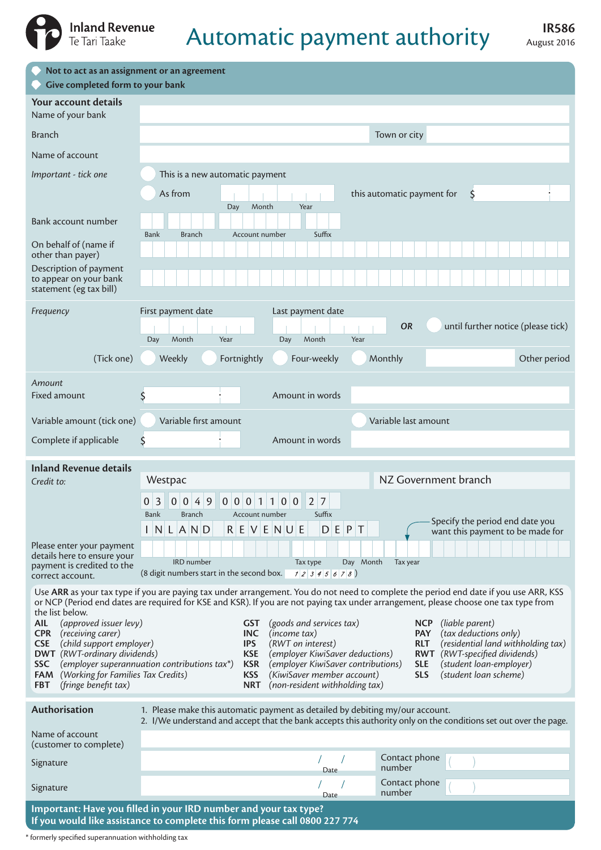

## **Automatic payment authority** August 2016

| Not to act as an assignment or an agreement<br>O,<br>Give completed form to your bank<br>$\circ$                                                                                                                                                                                                                                                                                                                                                                                                                                                                                                                                                                                                                                                                                                                                                                             |                                                                                                                                                                                                                                                                                                        |  |  |  |  |  |  |  |
|------------------------------------------------------------------------------------------------------------------------------------------------------------------------------------------------------------------------------------------------------------------------------------------------------------------------------------------------------------------------------------------------------------------------------------------------------------------------------------------------------------------------------------------------------------------------------------------------------------------------------------------------------------------------------------------------------------------------------------------------------------------------------------------------------------------------------------------------------------------------------|--------------------------------------------------------------------------------------------------------------------------------------------------------------------------------------------------------------------------------------------------------------------------------------------------------|--|--|--|--|--|--|--|
| Your account details<br>Name of your bank                                                                                                                                                                                                                                                                                                                                                                                                                                                                                                                                                                                                                                                                                                                                                                                                                                    |                                                                                                                                                                                                                                                                                                        |  |  |  |  |  |  |  |
| <b>Branch</b>                                                                                                                                                                                                                                                                                                                                                                                                                                                                                                                                                                                                                                                                                                                                                                                                                                                                | Town or city                                                                                                                                                                                                                                                                                           |  |  |  |  |  |  |  |
| Name of account                                                                                                                                                                                                                                                                                                                                                                                                                                                                                                                                                                                                                                                                                                                                                                                                                                                              |                                                                                                                                                                                                                                                                                                        |  |  |  |  |  |  |  |
| Important - tick one                                                                                                                                                                                                                                                                                                                                                                                                                                                                                                                                                                                                                                                                                                                                                                                                                                                         | This is a new automatic payment                                                                                                                                                                                                                                                                        |  |  |  |  |  |  |  |
| Bank account number                                                                                                                                                                                                                                                                                                                                                                                                                                                                                                                                                                                                                                                                                                                                                                                                                                                          | As from<br>this automatic payment for<br>\$<br>Month<br>Year<br>Day                                                                                                                                                                                                                                    |  |  |  |  |  |  |  |
|                                                                                                                                                                                                                                                                                                                                                                                                                                                                                                                                                                                                                                                                                                                                                                                                                                                                              | Suffix<br><b>Bank</b><br><b>Branch</b><br>Account number                                                                                                                                                                                                                                               |  |  |  |  |  |  |  |
| On behalf of (name if<br>other than payer)                                                                                                                                                                                                                                                                                                                                                                                                                                                                                                                                                                                                                                                                                                                                                                                                                                   |                                                                                                                                                                                                                                                                                                        |  |  |  |  |  |  |  |
| Description of payment<br>to appear on your bank<br>statement (eg tax bill)                                                                                                                                                                                                                                                                                                                                                                                                                                                                                                                                                                                                                                                                                                                                                                                                  |                                                                                                                                                                                                                                                                                                        |  |  |  |  |  |  |  |
| Frequency                                                                                                                                                                                                                                                                                                                                                                                                                                                                                                                                                                                                                                                                                                                                                                                                                                                                    | First payment date<br>Last payment date                                                                                                                                                                                                                                                                |  |  |  |  |  |  |  |
|                                                                                                                                                                                                                                                                                                                                                                                                                                                                                                                                                                                                                                                                                                                                                                                                                                                                              | OR<br>until further notice (please tick)<br>Month<br>Month<br>Year<br>Year<br>Day<br>Day                                                                                                                                                                                                               |  |  |  |  |  |  |  |
| (Tick one)                                                                                                                                                                                                                                                                                                                                                                                                                                                                                                                                                                                                                                                                                                                                                                                                                                                                   | Monthly<br>Weekly<br>Fortnightly<br>Four-weekly<br>Other period                                                                                                                                                                                                                                        |  |  |  |  |  |  |  |
| Amount                                                                                                                                                                                                                                                                                                                                                                                                                                                                                                                                                                                                                                                                                                                                                                                                                                                                       |                                                                                                                                                                                                                                                                                                        |  |  |  |  |  |  |  |
| <b>Fixed amount</b>                                                                                                                                                                                                                                                                                                                                                                                                                                                                                                                                                                                                                                                                                                                                                                                                                                                          | \$<br>Amount in words                                                                                                                                                                                                                                                                                  |  |  |  |  |  |  |  |
| Variable amount (tick one)                                                                                                                                                                                                                                                                                                                                                                                                                                                                                                                                                                                                                                                                                                                                                                                                                                                   | Variable first amount<br>Variable last amount                                                                                                                                                                                                                                                          |  |  |  |  |  |  |  |
| Complete if applicable                                                                                                                                                                                                                                                                                                                                                                                                                                                                                                                                                                                                                                                                                                                                                                                                                                                       | Amount in words<br>\$                                                                                                                                                                                                                                                                                  |  |  |  |  |  |  |  |
| <b>Inland Revenue details</b>                                                                                                                                                                                                                                                                                                                                                                                                                                                                                                                                                                                                                                                                                                                                                                                                                                                |                                                                                                                                                                                                                                                                                                        |  |  |  |  |  |  |  |
| Credit to:                                                                                                                                                                                                                                                                                                                                                                                                                                                                                                                                                                                                                                                                                                                                                                                                                                                                   | NZ Government branch<br>Westpac                                                                                                                                                                                                                                                                        |  |  |  |  |  |  |  |
|                                                                                                                                                                                                                                                                                                                                                                                                                                                                                                                                                                                                                                                                                                                                                                                                                                                                              | 9<br>0 0 0<br>0 <sub>0</sub><br>$2 \mid 7$<br>0<br>3<br>0 <sup>1</sup><br>$\overline{0}$<br>4<br>$\vert$ 1<br>$\mathbf{1}$<br><b>Bank</b><br>Suffix<br><b>Branch</b><br>Account number<br>Specify the period end date you<br>INLIAND<br>$R$ E V E N U E<br>D E P T<br>want this payment to be made for |  |  |  |  |  |  |  |
| Please enter your payment<br>details here to ensure your                                                                                                                                                                                                                                                                                                                                                                                                                                                                                                                                                                                                                                                                                                                                                                                                                     |                                                                                                                                                                                                                                                                                                        |  |  |  |  |  |  |  |
| payment is credited to the<br>correct account.                                                                                                                                                                                                                                                                                                                                                                                                                                                                                                                                                                                                                                                                                                                                                                                                                               | IRD number<br>Day Month<br>Tax year<br>Tax type<br>(8 digit numbers start in the second box.<br>12345678)                                                                                                                                                                                              |  |  |  |  |  |  |  |
| Use ARR as your tax type if you are paying tax under arrangement. You do not need to complete the period end date if you use ARR, KSS<br>or NCP (Period end dates are required for KSE and KSR). If you are not paying tax under arrangement, please choose one tax type from<br>the list below.                                                                                                                                                                                                                                                                                                                                                                                                                                                                                                                                                                             |                                                                                                                                                                                                                                                                                                        |  |  |  |  |  |  |  |
| (approved issuer levy)<br><b>AIL</b><br>(goods and services tax)<br>(liable parent)<br><b>NCP</b><br><b>GST</b><br>(receiving carer)<br>(tax deductions only)<br><b>CPR</b><br><b>INC</b><br>(income tax)<br><b>PAY</b><br>(child support employer)<br>(RWT on interest)<br>(residential land withholding tax)<br><b>CSE</b><br><b>IPS</b><br><b>RLT</b><br><b>DWT</b> (RWT-ordinary dividends)<br>(employer KiwiSaver deductions)<br>(RWT-specified dividends)<br><b>KSE</b><br><b>RWT</b><br>(employer superannuation contributions tax*)<br>(employer KiwiSaver contributions)<br>(student loan-employer)<br><b>SSC</b><br><b>KSR</b><br><b>SLE</b><br>(Working for Families Tax Credits)<br>(student loan scheme)<br>(KiwiSaver member account)<br><b>SLS</b><br><b>FAM</b><br><b>KSS</b><br>(fringe benefit tax)<br>(non-resident withholding tax)<br><b>NRT</b><br>FBT |                                                                                                                                                                                                                                                                                                        |  |  |  |  |  |  |  |
| Authorisation                                                                                                                                                                                                                                                                                                                                                                                                                                                                                                                                                                                                                                                                                                                                                                                                                                                                | 1. Please make this automatic payment as detailed by debiting my/our account.<br>2. I/We understand and accept that the bank accepts this authority only on the conditions set out over the page.                                                                                                      |  |  |  |  |  |  |  |
| Name of account<br>(customer to complete)                                                                                                                                                                                                                                                                                                                                                                                                                                                                                                                                                                                                                                                                                                                                                                                                                                    |                                                                                                                                                                                                                                                                                                        |  |  |  |  |  |  |  |
| Signature                                                                                                                                                                                                                                                                                                                                                                                                                                                                                                                                                                                                                                                                                                                                                                                                                                                                    | Contact phone<br>number<br>Date                                                                                                                                                                                                                                                                        |  |  |  |  |  |  |  |
| Signature                                                                                                                                                                                                                                                                                                                                                                                                                                                                                                                                                                                                                                                                                                                                                                                                                                                                    | Contact phone<br>number<br>Date                                                                                                                                                                                                                                                                        |  |  |  |  |  |  |  |
|                                                                                                                                                                                                                                                                                                                                                                                                                                                                                                                                                                                                                                                                                                                                                                                                                                                                              | Important: Have you filled in your IRD number and your tax type?                                                                                                                                                                                                                                       |  |  |  |  |  |  |  |

**If you would like assistance to complete this form please call 0800 227 774**

\* formerly specified superannuation withholding tax